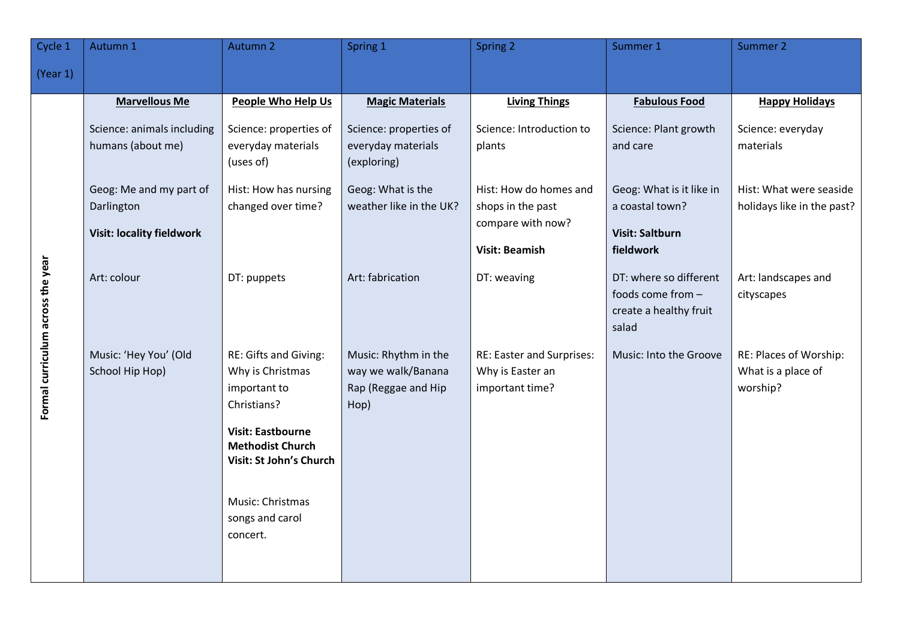| Cycle 1                           | Autumn 1                                                                                                                                                                                     | Autumn 2                                                                                                                                                                             | Spring 1                                                                                                                                                                          | Spring 2                                                                                                                                                                                            | Summer 1                                                                                                                                                                                                                                                    | Summer 2                                                                                                                                                                        |
|-----------------------------------|----------------------------------------------------------------------------------------------------------------------------------------------------------------------------------------------|--------------------------------------------------------------------------------------------------------------------------------------------------------------------------------------|-----------------------------------------------------------------------------------------------------------------------------------------------------------------------------------|-----------------------------------------------------------------------------------------------------------------------------------------------------------------------------------------------------|-------------------------------------------------------------------------------------------------------------------------------------------------------------------------------------------------------------------------------------------------------------|---------------------------------------------------------------------------------------------------------------------------------------------------------------------------------|
| (Year 1)                          |                                                                                                                                                                                              |                                                                                                                                                                                      |                                                                                                                                                                                   |                                                                                                                                                                                                     |                                                                                                                                                                                                                                                             |                                                                                                                                                                                 |
| Formal curriculum across the year | <b>Marvellous Me</b><br>Science: animals including<br>humans (about me)<br>Geog: Me and my part of<br>Darlington<br><b>Visit: locality fieldwork</b><br>Art: colour<br>Music: 'Hey You' (Old | People Who Help Us<br>Science: properties of<br>everyday materials<br>(uses of)<br>Hist: How has nursing<br>changed over time?<br>DT: puppets<br>RE: Gifts and Giving:               | <b>Magic Materials</b><br>Science: properties of<br>everyday materials<br>(exploring)<br>Geog: What is the<br>weather like in the UK?<br>Art: fabrication<br>Music: Rhythm in the | <b>Living Things</b><br>Science: Introduction to<br>plants<br>Hist: How do homes and<br>shops in the past<br>compare with now?<br><b>Visit: Beamish</b><br>DT: weaving<br>RE: Easter and Surprises: | <b>Fabulous Food</b><br>Science: Plant growth<br>and care<br>Geog: What is it like in<br>a coastal town?<br><b>Visit: Saltburn</b><br>fieldwork<br>DT: where so different<br>foods come from -<br>create a healthy fruit<br>salad<br>Music: Into the Groove | <b>Happy Holidays</b><br>Science: everyday<br>materials<br>Hist: What were seaside<br>holidays like in the past?<br>Art: landscapes and<br>cityscapes<br>RE: Places of Worship: |
|                                   | School Hip Hop)                                                                                                                                                                              | Why is Christmas<br>important to<br>Christians?<br><b>Visit: Eastbourne</b><br><b>Methodist Church</b><br>Visit: St John's Church<br>Music: Christmas<br>songs and carol<br>concert. | way we walk/Banana<br>Rap (Reggae and Hip<br>Hop)                                                                                                                                 | Why is Easter an<br>important time?                                                                                                                                                                 |                                                                                                                                                                                                                                                             | What is a place of<br>worship?                                                                                                                                                  |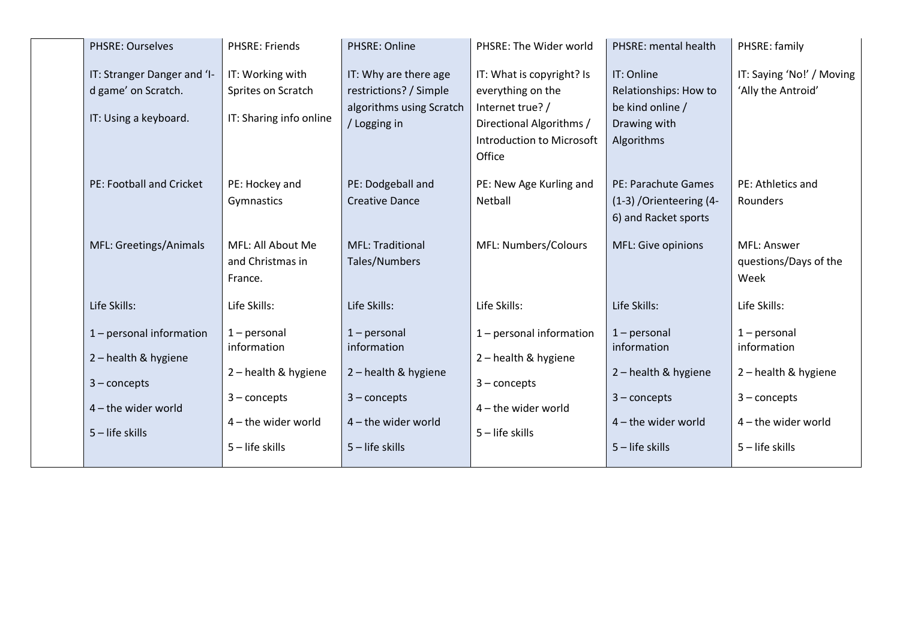| <b>PHSRE: Ourselves</b>                                                     | <b>PHSRE: Friends</b>                                             | PHSRE: Online                                                                               | PHSRE: The Wider world                                                                                                                       | PHSRE: mental health                                                                  | PHSRE: family                                            |
|-----------------------------------------------------------------------------|-------------------------------------------------------------------|---------------------------------------------------------------------------------------------|----------------------------------------------------------------------------------------------------------------------------------------------|---------------------------------------------------------------------------------------|----------------------------------------------------------|
| IT: Stranger Danger and 'I-<br>d game' on Scratch.<br>IT: Using a keyboard. | IT: Working with<br>Sprites on Scratch<br>IT: Sharing info online | IT: Why are there age<br>restrictions? / Simple<br>algorithms using Scratch<br>/ Logging in | IT: What is copyright? Is<br>everything on the<br>Internet true? /<br>Directional Algorithms /<br><b>Introduction to Microsoft</b><br>Office | IT: Online<br>Relationships: How to<br>be kind online /<br>Drawing with<br>Algorithms | IT: Saying 'No!' / Moving<br>'Ally the Antroid'          |
| PE: Football and Cricket                                                    | PE: Hockey and<br>Gymnastics                                      | PE: Dodgeball and<br><b>Creative Dance</b>                                                  | PE: New Age Kurling and<br>Netball                                                                                                           | PE: Parachute Games<br>(1-3) / Orienteering (4-<br>6) and Racket sports               | PE: Athletics and<br>Rounders                            |
| MFL: Greetings/Animals                                                      | MFL: All About Me<br>and Christmas in<br>France.                  | <b>MFL: Traditional</b><br>Tales/Numbers                                                    | <b>MFL: Numbers/Colours</b>                                                                                                                  | MFL: Give opinions                                                                    | MFL: Answer<br>questions/Days of the<br>Week             |
| Life Skills:                                                                | Life Skills:                                                      | Life Skills:                                                                                | Life Skills:                                                                                                                                 | Life Skills:                                                                          | Life Skills:                                             |
| 1 - personal information<br>2-health & hygiene<br>$3$ – concepts            | $1$ – personal<br>information<br>2-health & hygiene               | $1$ – personal<br>information<br>2-health & hygiene                                         | $1$ – personal information<br>2-health & hygiene<br>$3$ – concepts                                                                           | $1$ – personal<br>information<br>2-health & hygiene                                   | $1$ – personal<br>information<br>2-health & hygiene      |
| $4$ – the wider world<br>$5 -$ life skills                                  | $3$ – concepts<br>4-the wider world<br>$5$ – life skills          | $3$ – concepts<br>4 - the wider world<br>$5$ – life skills                                  | $4$ – the wider world<br>5 - life skills                                                                                                     | $3$ – concepts<br>4 - the wider world<br>$5$ – life skills                            | $3$ – concepts<br>4 - the wider world<br>5 - life skills |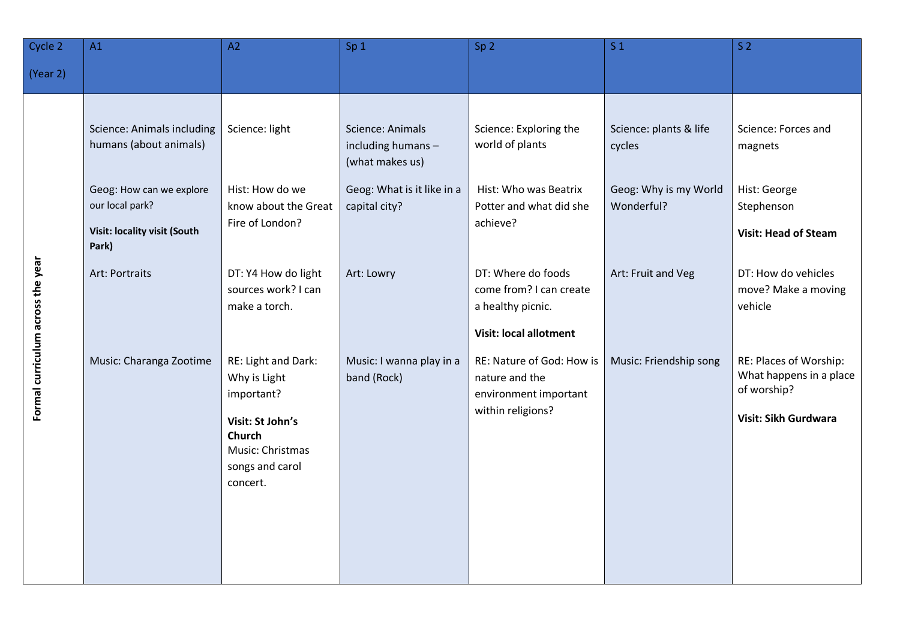| Cycle 2                           | A1                                                                                   | A2                                                                                                                                 | Sp <sub>1</sub>                                           | Sp <sub>2</sub>                                                                                     | S <sub>1</sub>                      | S <sub>2</sub>                                                                           |
|-----------------------------------|--------------------------------------------------------------------------------------|------------------------------------------------------------------------------------------------------------------------------------|-----------------------------------------------------------|-----------------------------------------------------------------------------------------------------|-------------------------------------|------------------------------------------------------------------------------------------|
| (Year 2)                          |                                                                                      |                                                                                                                                    |                                                           |                                                                                                     |                                     |                                                                                          |
| Formal curriculum across the year | Science: Animals including<br>humans (about animals)                                 | Science: light                                                                                                                     | Science: Animals<br>including humans -<br>(what makes us) | Science: Exploring the<br>world of plants                                                           | Science: plants & life<br>cycles    | Science: Forces and<br>magnets                                                           |
|                                   | Geog: How can we explore<br>our local park?<br>Visit: locality visit (South<br>Park) | Hist: How do we<br>know about the Great<br>Fire of London?                                                                         | Geog: What is it like in a<br>capital city?               | Hist: Who was Beatrix<br>Potter and what did she<br>achieve?                                        | Geog: Why is my World<br>Wonderful? | Hist: George<br>Stephenson<br><b>Visit: Head of Steam</b>                                |
|                                   | Art: Portraits                                                                       | DT: Y4 How do light<br>sources work? I can<br>make a torch.                                                                        | Art: Lowry                                                | DT: Where do foods<br>come from? I can create<br>a healthy picnic.<br><b>Visit: local allotment</b> | Art: Fruit and Veg                  | DT: How do vehicles<br>move? Make a moving<br>vehicle                                    |
|                                   | Music: Charanga Zootime                                                              | RE: Light and Dark:<br>Why is Light<br>important?<br>Visit: St John's<br>Church<br>Music: Christmas<br>songs and carol<br>concert. | Music: I wanna play in a<br>band (Rock)                   | RE: Nature of God: How is<br>nature and the<br>environment important<br>within religions?           | Music: Friendship song              | RE: Places of Worship:<br>What happens in a place<br>of worship?<br>Visit: Sikh Gurdwara |